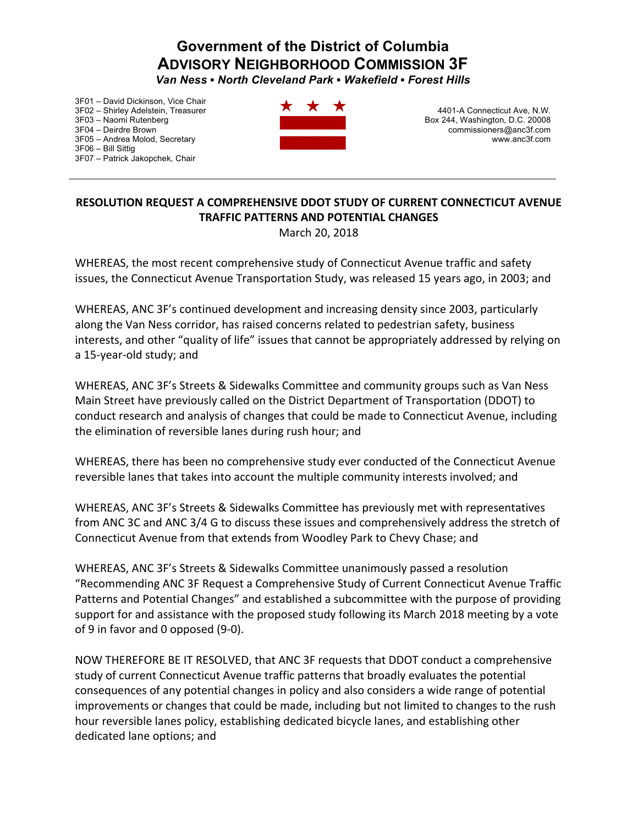## **Government of the District of Columbia ADVISORY NEIGHBORHOOD COMMISSION 3F**

*Van Ness ▪ North Cleveland Park ▪ Wakefield ▪ Forest Hills* 

3F01 – David Dickinson, Vice Chair 3F02 – Shirley Adelstein, Treasurer 3F03 – Naomi Rutenberg 3F04 – Deirdre Brown 3F05 – Andrea Molod, Secretary 3F06 – Bill Sittig 3F07 – Patrick Jakopchek, Chair



4401-A Connecticut Ave, N.W. Box 244, Washington, D.C. 20008 commissioners@anc3f.com www.anc3f.com

## **RESOLUTION REQUEST A COMPREHENSIVE DDOT STUDY OF CURRENT CONNECTICUT AVENUE TRAFFIC PATTERNS AND POTENTIAL CHANGES**

March 20, 2018

WHEREAS, the most recent comprehensive study of Connecticut Avenue traffic and safety issues, the Connecticut Avenue Transportation Study, was released 15 years ago, in 2003; and

WHEREAS, ANC 3F's continued development and increasing density since 2003, particularly along the Van Ness corridor, has raised concerns related to pedestrian safety, business interests, and other "quality of life" issues that cannot be appropriately addressed by relying on a 15-year-old study; and

WHEREAS, ANC 3F's Streets & Sidewalks Committee and community groups such as Van Ness Main Street have previously called on the District Department of Transportation (DDOT) to conduct research and analysis of changes that could be made to Connecticut Avenue, including the elimination of reversible lanes during rush hour; and

WHEREAS, there has been no comprehensive study ever conducted of the Connecticut Avenue reversible lanes that takes into account the multiple community interests involved; and

WHEREAS, ANC 3F's Streets & Sidewalks Committee has previously met with representatives from ANC 3C and ANC 3/4 G to discuss these issues and comprehensively address the stretch of Connecticut Avenue from that extends from Woodley Park to Chevy Chase; and

WHEREAS, ANC 3F's Streets & Sidewalks Committee unanimously passed a resolution "Recommending ANC 3F Request a Comprehensive Study of Current Connecticut Avenue Traffic Patterns and Potential Changes" and established a subcommittee with the purpose of providing support for and assistance with the proposed study following its March 2018 meeting by a vote of 9 in favor and 0 opposed (9-0).

NOW THEREFORE BE IT RESOLVED, that ANC 3F requests that DDOT conduct a comprehensive study of current Connecticut Avenue traffic patterns that broadly evaluates the potential consequences of any potential changes in policy and also considers a wide range of potential improvements or changes that could be made, including but not limited to changes to the rush hour reversible lanes policy, establishing dedicated bicycle lanes, and establishing other dedicated lane options; and